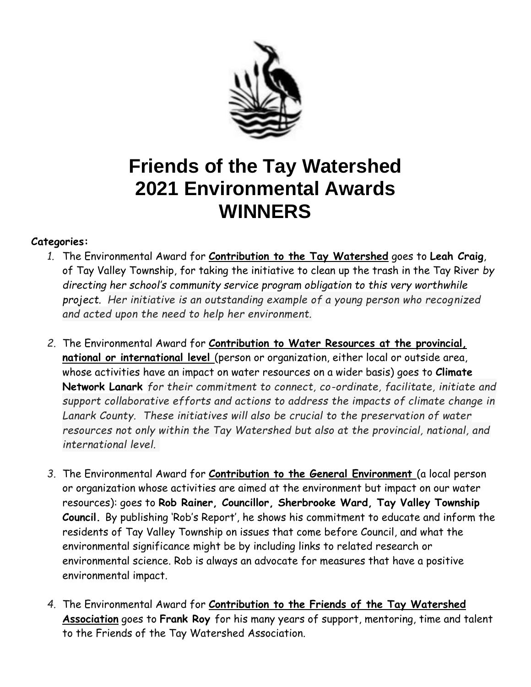

## **Friends of the Tay Watershed 2021 Environmental Awards WINNERS**

## **Categories:**

- *1.* The Environmental Award for **Contribution to the Tay Watershed** goes to **Leah Craig**, of Tay Valley Township, for taking the initiative to clean up the trash in the Tay River *by directing her school's community service program obligation to this very worthwhile project. Her initiative is an outstanding example of a young person who recognized and acted upon the need to help her environment.*
- *2.* The Environmental Award for **Contribution to Water Resources at the provincial, national or international level** (person or organization, either local or outside area, whose activities have an impact on water resources on a wider basis) goes to **Climate Network Lanark** *for their commitment to connect, co-ordinate, facilitate, initiate and support collaborative efforts and actions to address the impacts of climate change in Lanark County. These initiatives will also be crucial to the preservation of water resources not only within the Tay Watershed but also at the provincial, national, and international level.*
- *3.* The Environmental Award for **Contribution to the General Environment** (a local person or organization whose activities are aimed at the environment but impact on our water resources): goes to **Rob Rainer, Councillor, Sherbrooke Ward, Tay Valley Township Council.** By publishing 'Rob's Report', he shows his commitment to educate and inform the residents of Tay Valley Township on issues that come before Council, and what the environmental significance might be by including links to related research or environmental science. Rob is always an advocate for measures that have a positive environmental impact.
- *4.* The Environmental Award for **Contribution to the Friends of the Tay Watershed Association** goes to **Frank Roy** for his many years of support, mentoring, time and talent to the Friends of the Tay Watershed Association.